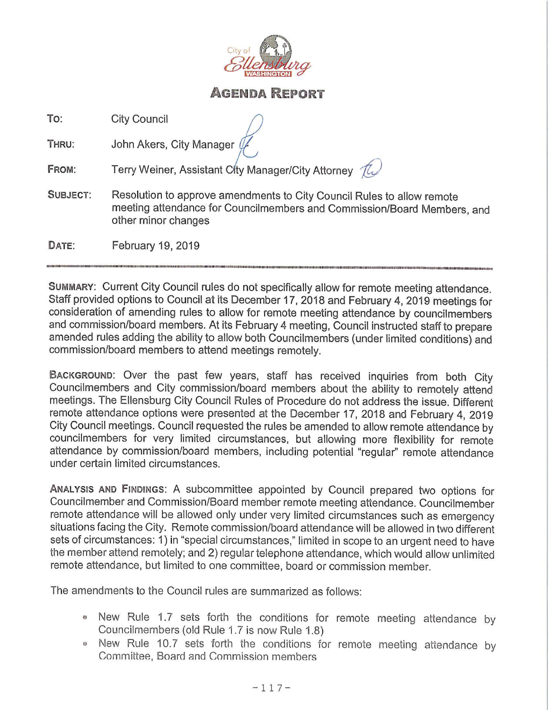

# **AGENDA REPORT**

**To:** City Council

**THRU:** John Akers, City Manager

**FROM:** Terry Weiner, Assistant City Manager/City Attorney  $\hat{\mathcal{U}}$ 

- **SUBJECT:** Resolution to approve amendments to City Council Rules to allow remote meeting attendance for Councilmembers and Commission/Board Members, and other minor changes
- **DATE:** February 19, 2019

**SUMMARY:** Current City Council rules do not specifically allow for remote meeting attendance. Staff provided options to Council at its December 17, 2018 and February 4, 2019 meetings for consideration of amending rules to allow for remote meeting attendance by councilmembers and commission/board members. At its February 4 meeting, Council instructed staff to prepare amended rules adding the ability to allow both Councilmembers (under limited conditions) and commission/board members to attend meetings remotely.

**BACKGROUND:** Over the past few years, staff has received inquiries from both City Councilmembers and City commission/board members about the ability to remotely attend meetings. The Ellensburg City Council Rules of Procedure do not address the issue. Different remote attendance options were presented at the December 17, 2018 and February 4, 2019 City Council meetings. Council requested the rules be amended to allow remote attendance by councilmembers for very limited circumstances, but allowing more flexibility for remote attendance by commission/board members, including potential "regular" remote attendance under certain limited circumstances.

**ANALYSIS AND FINDINGS:** A subcommittee appointed by Council prepared two options for Councilmember and Commission/Board member remote meeting attendance. Councilmember remote attendance will be allowed only under very limited circumstances such as emergency situations facing the City. Remote commission/board attendance will be allowed in two different sets of circumstances: 1) in "special circumstances," limited in scope to an urgent need to have the member attend remotely; and 2) regular telephone attendance, which would allow unlimited remote attendance, but limited to one committee, board or commission member.

The amendments to the Council rules are summarized as follows:

- *o* New Rule 1.7 sets forth the conditions for remote meeting attendance by Councilmembers (old Rule 1.7 is now Rule 1.8)
- New Rule 10.7 sets forth the conditions for remote meeting attendance by Committee, Board and Commission members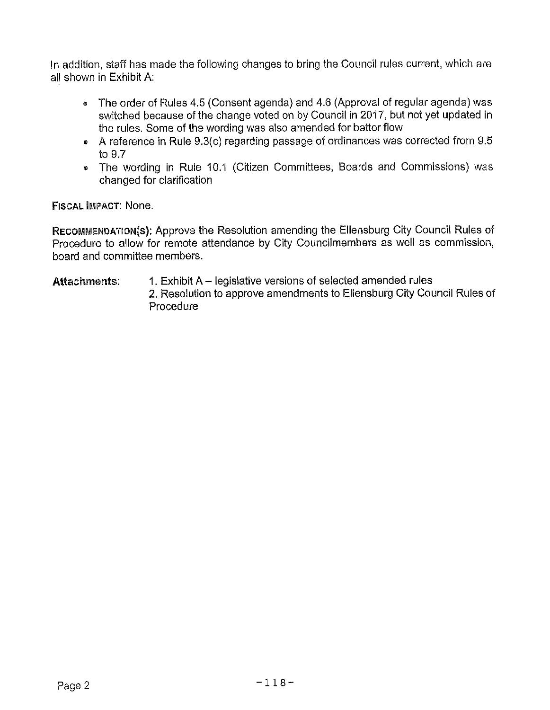In addition, staff has made the following changes to bring the Council rules current, which are all shown in Exhibit A:

- The order of Rules 4.5 (Consent agenda) and 4.6 (Approval of regular agenda) was switched because of the change voted on by Council in 2017, but not yet updated in the rules. Some of the wording was also amended for better flow
- A reference in Rule 9.3(c) regarding passage of ordinances was corrected from 9.5 to 9.7
- The wording in Rule 10.1 (Citizen Committees, Boards and Commissions) was changed for clarification

FISCAL IMPACT: None.

RECOMMENDATION(s): Approve the Resolution amending the Ellensburg City Council Rules of Procedure to allow for remote attendance by City Councilmembers as well as commission, board and committee members.

#### Attachmemts: 1. Exhibit A – legislative versions of selected amended rules 2. Resolution to approve amendments to Ellensburg City Council Rules of Procedure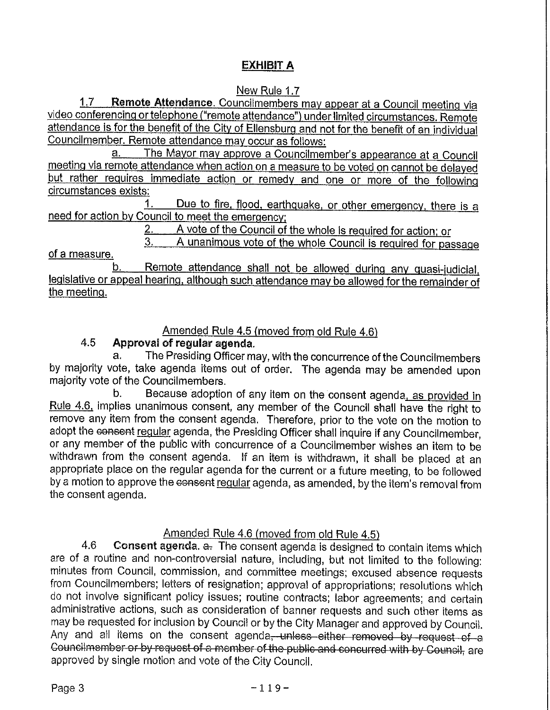# **EXHIBIT A**

# New Rule 1.7

1.7 **Remote Attendance.** Councilmembers may appear at a Council meeting via video conferencing or telephone ("remote attendance") under limited circumstances. Remote attendance is for the benefit of the City of Ellensburg and not for the benefit of an individual Councilmember. Remote attendance may occur as follows:

a. The Mayor may approve a Councilmember's appearance at a Council meeting via remote attendance when action on a measure to be voted on cannot be delayed but rather requires immediate action or remedy and one or more of the following circumstances exists:

Due to fire, flood, earthquake, or other emergency, there is a need for action by Council to meet the emergency:

2. A vote of the Council of the whole is required for action; or<br>3. A unanimous vote of the whole Council is required for pas

A unanimous vote of the whole Council is required for passage

of a measure.

Remote attendance shall not be allowed during any quasi-judicial. legislative or appeal hearing. although such attendance may be allowed for the remainder of the meeting.

#### Amended Rule 4.5 (moved from old Rule 4.6)

### 4.5 **Approval of regular agenda.**

The Presiding Officer may, with the concurrence of the Councilmembers by majority vote, take agenda items out of order. The agenda may be amended upon majority vote of the Councilmembers.

b. Because adoption of any item on the consent agenda, as provided in Rule 4.6. implies unanimous consent, any member of the Council shall have the right to remove any item from the consent agenda. Therefore, prior to the vote on the motion to adopt the consent regular agenda, the Presiding Officer shall inquire if any Councilmember, or any member of the public with concurrence of a Councilmember wishes an item to be withdrawn from the consent agenda. If an item is withdrawn, it shall be placed at an appropriate place on the regular agenda for the current or a future meeting, to be followed by a motion to approve the consent regular agenda, as amended, by the item's removal from the consent agenda.

# Amended Rule 4.6 (moved from old Rule 4.5)

4.6 **Consent agenda.** a. The consent agenda is designed to contain items which are of a routine and non-controversial nature, including, but not limited to the following: minutes from Council, commission, and committee meetings; excused absence requests from Councilmembers; letters of resignation; approval of appropriations; resolutions which do not involve significant policy issues; routine contracts; labor agreements; and certain administrative actions, such as consideration of banner requests and such other items as may be requested for inclusion by Council or by the City Manager and approved by Council. administrative actions, such as consideration of banner requests and such other items as<br>may be requested for inclusion by Council or by the City Manager and approved by Council.<br>Any and all items on the consent agenda, un Any and all items on the consent agenda, unless either removed by request of a Councilmember or by request of a member of the public and concurred with by Council, are approved by single motion and vote of the City Council.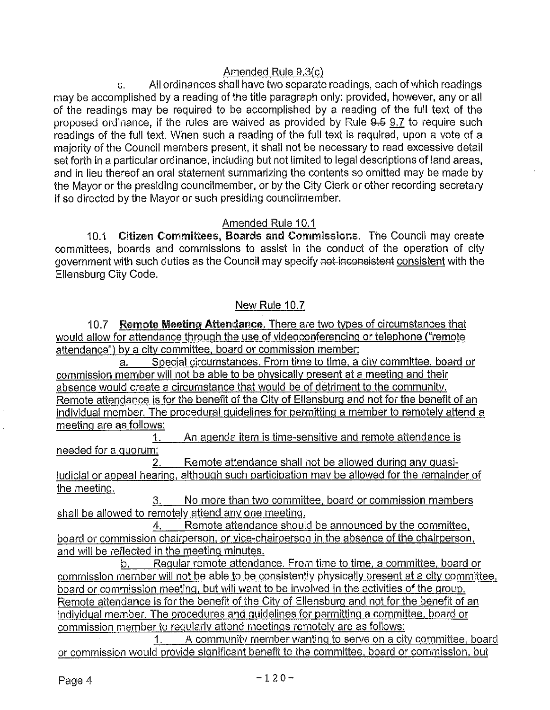#### Amended Rule 9.3(c)

c. All ordinances shall have two separate readings, each of which readings may be accomplished by a reading of the title paragraph only: provided, however, any or all of the readings may be required to be accomplished by a reading of the full text of the proposed ordinance, if the rules are waived as provided by Rule  $9.5$   $9.7$  to require such readings of the full text. When such a reading of the full text is required, upon a vote of a majority of the Council members present, it shall not be necessary to read excessive detail set forth in a particular ordinance, including but not limited to legal descriptions of land areas, and in lieu thereof an oral statement summarizing the contents so omitted may be made by the Mayor or the presiding councilmember, or by the City Clerk or other recording secretary if so directed by the Mayor or such presiding councilmember.

#### Amended Rule 10.1

10.1 Citizen Committees, Boards and Commissions. The Council may create committees, boards and commissions to assist in the conduct of the operation of city government with such duties as the Council may specify not-inconsistent consistent with the Ellensburg City Code.

### New Rule 10.7

10.7 **Remote Meeting Attendance.** There are two types of circumstances that would allow for attendance through the use of videoconferencing or telephone ("remote attendance") by a city committee. board or commission member:

a. Special circumstances. From time to time, a city committee, board or commission member will not be able to be physically present at a meeting and their absence would create a circumstance that would be of detriment to the community, Remote attendance is for the benefit of the City of Ellensburg and not for the benefit of an individual member. The procedural guidelines for permitting a member to remotely attend a meeting are as follows:

1. An agenda item is time-sensitive and remote attendance is needed for a quorum:

2. Remote attendance shall not be allowed during any quasijudicial or appeal hearing, although such participation may be allowed for the remainder of the meeting.

3. No more than two committee, board or commission members shall be allowed to remotely attend any one meeting.

4. Remote attendance should be announced by the committee, board or commission chairperson, or vice-chairperson in the absence of the chairperson, and will be reflected in the meeting minutes.

b. Regular remote attendance. From time to time, a committee, board or commission member will not be able to be consistently physically present at a city committee, board or commission meeting, but will want to be involved in the activities of the group. Remote attendance is for the benefit of the City of Ellensburg and not for the benefit of an individual member. The procedures and quidelines for permitting a committee, board or commission member to regularly attend meetings remotely are as follows:

1. A community member wantinq to serve on a citv committee, board or commission would provide significant benefit to the committee, board or commission, bul